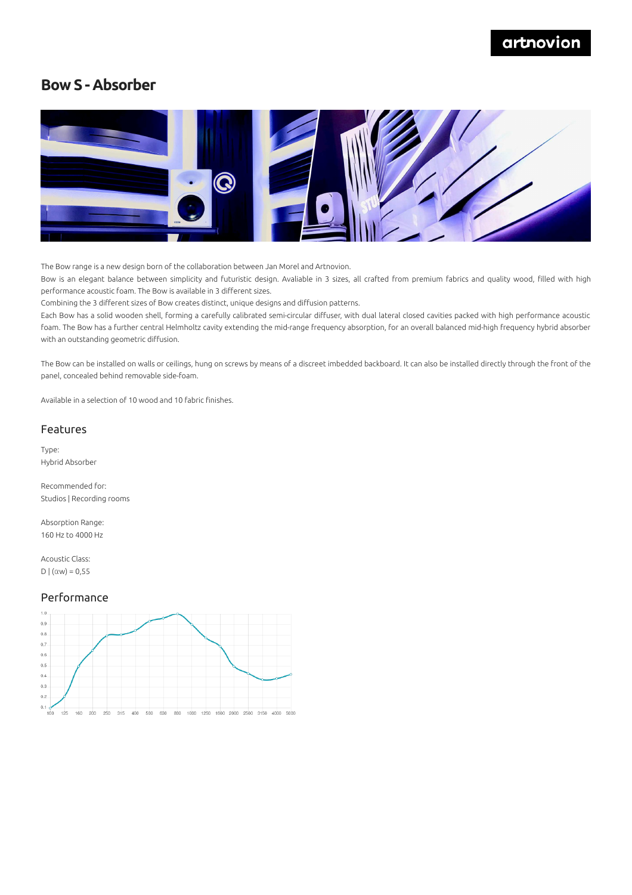## artnovion

### **Bow S - Absorber**



The Bow range is a new design born of the collaboration between Jan Morel and Artnovion.

Bow is an elegant balance between simplicity and futuristic design. Avaliable in 3 sizes, all crafted from premium fabrics and quality wood, filled with high performance acoustic foam. The Bow is available in 3 different sizes.

Combining the 3 different sizes of Bow creates distinct, unique designs and diffusion patterns.

Each Bow has a solid wooden shell, forming a carefully calibrated semi-circular diffuser, with dual lateral closed cavities packed with high performance acoustic foam. The Bow has a further central Helmholtz cavity extending the mid-range frequency absorption, for an overall balanced mid-high frequency hybrid absorber with an outstanding geometric diffusion.

The Bow can be installed on walls or ceilings, hung on screws by means of a discreet imbedded backboard. It can also be installed directly through the front of the panel, concealed behind removable side-foam.

Available in a selection of 10 wood and 10 fabric finishes.

### Features

Type: Hybrid Absorber

Recommended for: Studios | Recording rooms

Absorption Range: 160 Hz to 4000 Hz

Acoustic Class: D  $(αw) = 0,55$ 

### Performance

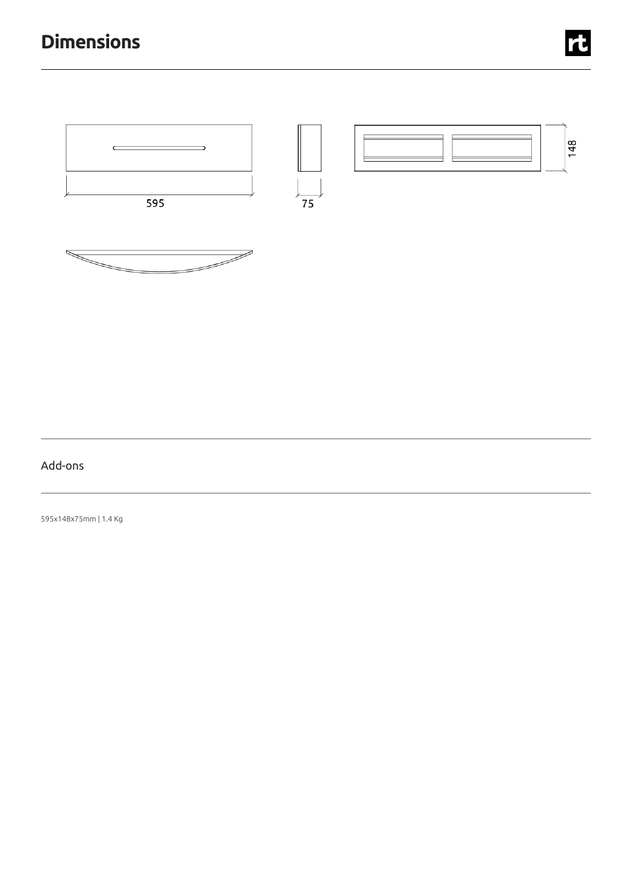# **Dimensions**





### Add-ons

595x148x75mm |1.4 Kg